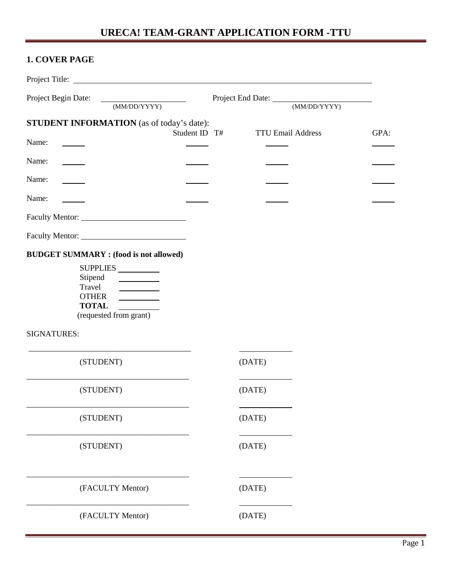## **1. COVER PAGE**

| Project Begin Date:<br><u> 1970 - John Barnett, fransk konge</u><br>(MM/DD/YYYY)                                                                                    |               | Project End Date: (MM/DD/YYYY) |                          |      |
|---------------------------------------------------------------------------------------------------------------------------------------------------------------------|---------------|--------------------------------|--------------------------|------|
| <b>STUDENT INFORMATION</b> (as of today's date):                                                                                                                    | Student ID T# |                                | <b>TTU Email Address</b> | GPA: |
| Name:                                                                                                                                                               |               |                                |                          |      |
| Name:                                                                                                                                                               |               |                                |                          |      |
| Name:                                                                                                                                                               |               |                                |                          |      |
| Name:                                                                                                                                                               |               |                                |                          |      |
|                                                                                                                                                                     |               |                                |                          |      |
|                                                                                                                                                                     |               |                                |                          |      |
| <b>BUDGET SUMMARY:</b> (food is not allowed)<br>SUPPLIES<br>Stipend<br>$\overline{\phantom{a}}$<br>Travel<br><b>OTHER</b><br><b>TOTAL</b><br>(requested from grant) |               |                                |                          |      |
| <b>SIGNATURES:</b>                                                                                                                                                  |               |                                |                          |      |
| (STUDENT)                                                                                                                                                           |               | (DATE)                         |                          |      |
| (STUDENT)                                                                                                                                                           |               | (DATE)                         |                          |      |
| (STUDENT)                                                                                                                                                           |               | (DATE)                         |                          |      |
| (STUDENT)                                                                                                                                                           |               | (DATE)                         |                          |      |
| (FACULTY Mentor)                                                                                                                                                    |               | (DATE)                         |                          |      |
| (FACULTY Mentor)                                                                                                                                                    |               | (DATE)                         |                          |      |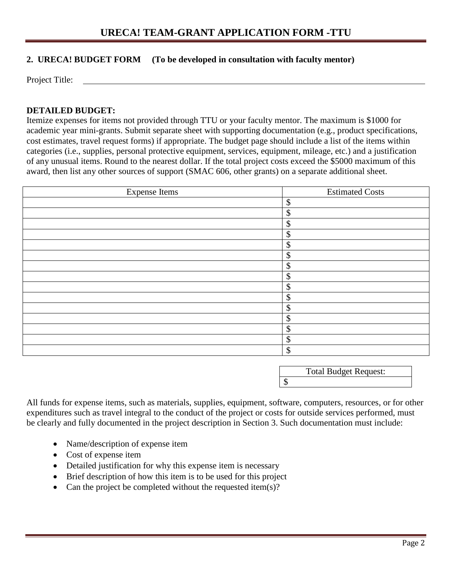#### **2. URECA! BUDGET FORM (To be developed in consultation with faculty mentor)**

Project Title:

#### **DETAILED BUDGET:**

Itemize expenses for items not provided through TTU or your faculty mentor. The maximum is \$1000 for academic year mini-grants. Submit separate sheet with supporting documentation (e.g., product specifications, cost estimates, travel request forms) if appropriate. The budget page should include a list of the items within categories (i.e., supplies, personal protective equipment, services, equipment, mileage, etc.) and a justification of any unusual items. Round to the nearest dollar. If the total project costs exceed the \$5000 maximum of this award, then list any other sources of support (SMAC 606, other grants) on a separate additional sheet.

| <b>Expense Items</b> | <b>Estimated Costs</b> |
|----------------------|------------------------|
|                      | \$                     |
|                      | \$                     |
|                      | \$                     |
|                      | \$                     |
|                      | \$                     |
|                      | \$                     |
|                      | \$                     |
|                      | \$                     |
|                      | \$                     |
|                      | \$                     |
|                      | \$                     |
|                      | \$                     |
|                      | \$                     |
|                      | \$                     |
|                      | \$                     |

Total Budget Request:

 $\overline{\mathcal{S}}$ 

All funds for expense items, such as materials, supplies, equipment, software, computers, resources, or for other expenditures such as travel integral to the conduct of the project or costs for outside services performed, must be clearly and fully documented in the project description in Section 3. Such documentation must include:

- Name/description of expense item
- Cost of expense item
- Detailed justification for why this expense item is necessary
- Brief description of how this item is to be used for this project
- Can the project be completed without the requested item(s)?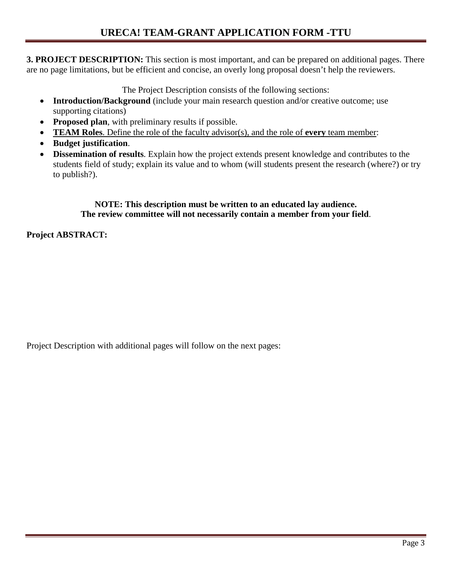**3. PROJECT DESCRIPTION:** This section is most important, and can be prepared on additional pages. There are no page limitations, but be efficient and concise, an overly long proposal doesn't help the reviewers.

The Project Description consists of the following sections:

- **Introduction/Background** (include your main research question and/or creative outcome; use supporting citations)
- **Proposed plan**, with preliminary results if possible.
- **TEAM Roles**. Define the role of the faculty advisor(s), and the role of **every** team member:
- **Budget justification**.
- **Dissemination of results**. Explain how the project extends present knowledge and contributes to the students field of study; explain its value and to whom (will students present the research (where?) or try to publish?).

#### **NOTE: This description must be written to an educated lay audience. The review committee will not necessarily contain a member from your field**.

**Project ABSTRACT:**

Project Description with additional pages will follow on the next pages: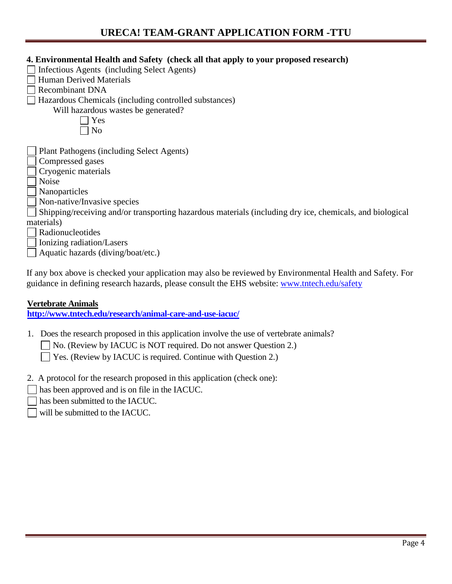| 4. Environmental Health and Safety (check all that apply to your proposed research)                      |
|----------------------------------------------------------------------------------------------------------|
| Infectious Agents (including Select Agents)                                                              |
| <b>Human Derived Materials</b>                                                                           |
| <b>Recombinant DNA</b>                                                                                   |
| Hazardous Chemicals (including controlled substances)                                                    |
| Will hazardous wastes be generated?                                                                      |
| Yes                                                                                                      |
| N <sub>0</sub>                                                                                           |
|                                                                                                          |
| Plant Pathogens (including Select Agents)                                                                |
| Compressed gases                                                                                         |
| Cryogenic materials                                                                                      |
| <b>Noise</b>                                                                                             |
| Nanoparticles                                                                                            |
| Non-native/Invasive species                                                                              |
| Shipping/receiving and/or transporting hazardous materials (including dry ice, chemicals, and biological |
| materials)                                                                                               |
| Radionucleotides                                                                                         |
| Ionizing radiation/Lasers                                                                                |
| Aquatic hazards (diving/boat/etc.)                                                                       |

If any box above is checked your application may also be reviewed by Environmental Health and Safety. For guidance in defining research hazards, please consult the EHS website: [www.tntech.edu/safety](http://www.tntech.edu/safety)

#### **Vertebrate Animals**

**<http://www.tntech.edu/research/animal-care-and-use-iacuc/>**

- 1. Does the research proposed in this application involve the use of vertebrate animals?
	- □ No. (Review by IACUC is NOT required. Do not answer Question 2.)

Yes. (Review by IACUC is required. Continue with Question 2.)

- 2. A protocol for the research proposed in this application (check one):
- has been approved and is on file in the IACUC.
- has been submitted to the IACUC.
- $\Box$  will be submitted to the IACUC.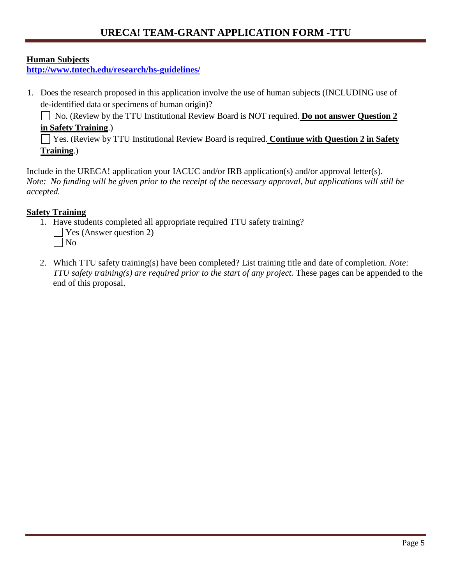#### **Human Subjects**

**<http://www.tntech.edu/research/hs-guidelines/>**

1. Does the research proposed in this application involve the use of human subjects (INCLUDING use of de-identified data or specimens of human origin)?

No. (Review by the TTU Institutional Review Board is NOT required. **Do not answer Question 2 in Safety Training**.)

Yes. (Review by TTU Institutional Review Board is required. **Continue with Question 2 in Safety Training**.)

Include in the URECA! application your IACUC and/or IRB application(s) and/or approval letter(s). *Note: No funding will be given prior to the receipt of the necessary approval, but applications will still be accepted.* 

### **Safety Training**

- 1. Have students completed all appropriate required TTU safety training?  $\Box$  Yes (Answer question 2) No
- 2. Which TTU safety training(s) have been completed? List training title and date of completion. *Note: TTU safety training(s) are required prior to the start of any project.* These pages can be appended to the end of this proposal.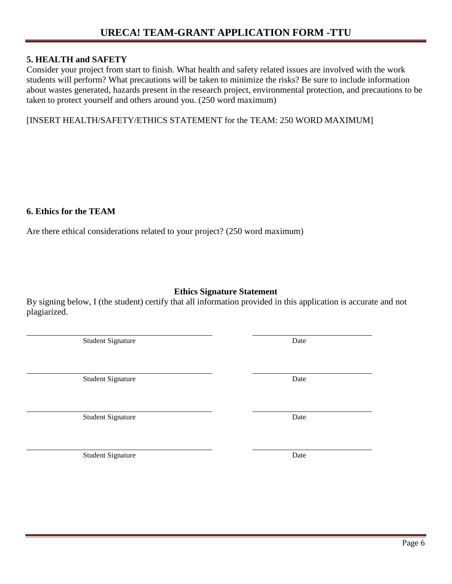#### **5. HEALTH and SAFETY**

Consider your project from start to finish. What health and safety related issues are involved with the work students will perform? What precautions will be taken to minimize the risks? Be sure to include information about wastes generated, hazards present in the research project, environmental protection, and precautions to be taken to protect yourself and others around you. (250 word maximum)

[INSERT HEALTH/SAFETY/ETHICS STATEMENT for the TEAM: 250 WORD MAXIMUM]

#### **6. Ethics for the TEAM**

Are there ethical considerations related to your project? (250 word maximum)

## **Ethics Signature Statement**

By signing below, I (the student) certify that all information provided in this application is accurate and not plagiarized.

Student Signature Date

Student Signature Date

Student Signature Date

Student Signature Date

Page 6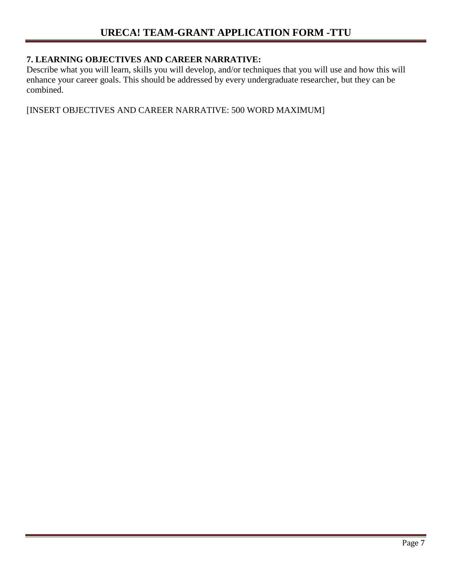## **7. LEARNING OBJECTIVES AND CAREER NARRATIVE:**

Describe what you will learn, skills you will develop, and/or techniques that you will use and how this will enhance your career goals. This should be addressed by every undergraduate researcher, but they can be combined.

[INSERT OBJECTIVES AND CAREER NARRATIVE: 500 WORD MAXIMUM]